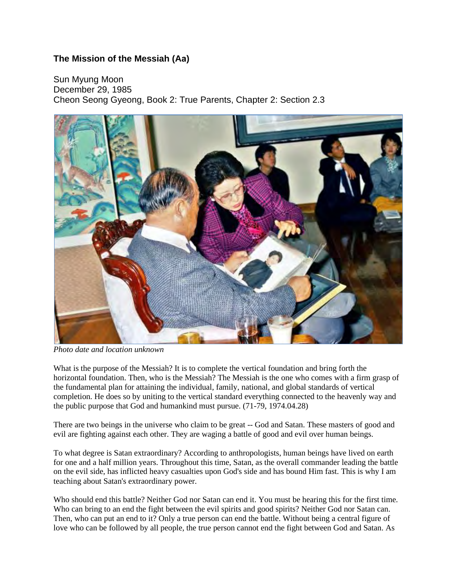## **The Mission of the Messiah (Aa)**

Sun Myung Moon December 29, 1985 Cheon Seong Gyeong, Book 2: True Parents, Chapter 2: Section 2.3



*Photo date and location unknown*

What is the purpose of the Messiah? It is to complete the vertical foundation and bring forth the horizontal foundation. Then, who is the Messiah? The Messiah is the one who comes with a firm grasp of the fundamental plan for attaining the individual, family, national, and global standards of vertical completion. He does so by uniting to the vertical standard everything connected to the heavenly way and the public purpose that God and humankind must pursue. (71-79, 1974.04.28)

There are two beings in the universe who claim to be great -- God and Satan. These masters of good and evil are fighting against each other. They are waging a battle of good and evil over human beings.

To what degree is Satan extraordinary? According to anthropologists, human beings have lived on earth for one and a half million years. Throughout this time, Satan, as the overall commander leading the battle on the evil side, has inflicted heavy casualties upon God's side and has bound Him fast. This is why I am teaching about Satan's extraordinary power.

Who should end this battle? Neither God nor Satan can end it. You must be hearing this for the first time. Who can bring to an end the fight between the evil spirits and good spirits? Neither God nor Satan can. Then, who can put an end to it? Only a true person can end the battle. Without being a central figure of love who can be followed by all people, the true person cannot end the fight between God and Satan. As